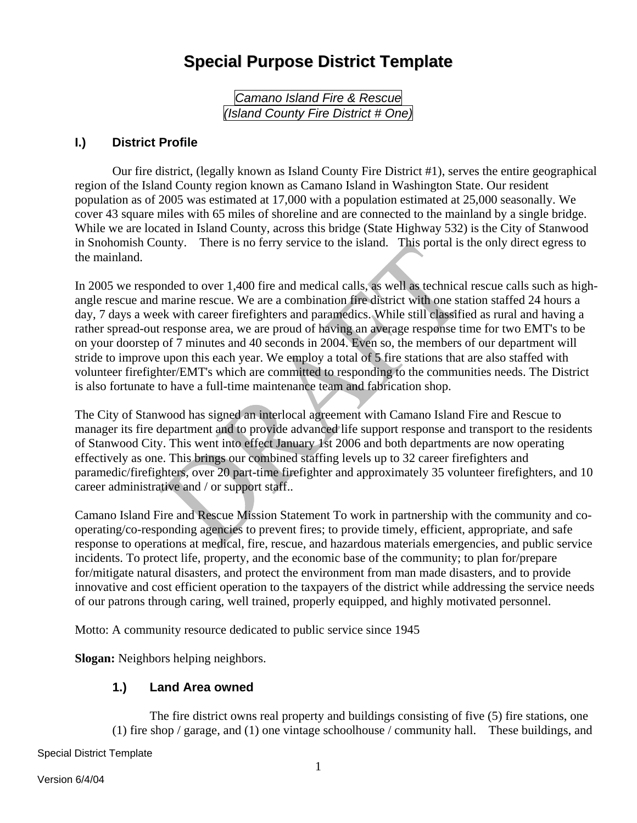# **Special Purpose District Template**

*Camano Island Fire & Rescue (Island County Fire District # One)* 

### **I.) District Profile**

Our fire district, (legally known as Island County Fire District #1), serves the entire geographical region of the Island County region known as Camano Island in Washington State. Our resident population as of 2005 was estimated at 17,000 with a population estimated at 25,000 seasonally. We cover 43 square miles with 65 miles of shoreline and are connected to the mainland by a single bridge. While we are located in Island County, across this bridge (State Highway 532) is the City of Stanwood in Snohomish County. There is no ferry service to the island. This portal is the only direct egress to the mainland.

In 2005 we responded to over 1,400 fire and medical calls, as well as technical rescue calls such as highangle rescue and marine rescue. We are a combination fire district with one station staffed 24 hours a day, 7 days a week with career firefighters and paramedics. While still classified as rural and having a rather spread-out response area, we are proud of having an average response time for two EMT's to be on your doorstep of 7 minutes and 40 seconds in 2004. Even so, the members of our department will stride to improve upon this each year. We employ a total of 5 fire stations that are also staffed with volunteer firefighter/EMT's which are committed to responding to the communities needs. The District is also fortunate to have a full-time maintenance team and fabrication shop.

The City of Stanwood has signed an interlocal agreement with Camano Island Fire and Rescue to manager its fire department and to provide advanced life support response and transport to the residents of Stanwood City. This went into effect January 1st 2006 and both departments are now operating effectively as one. This brings our combined staffing levels up to 32 career firefighters and paramedic/firefighters, over 20 part-time firefighter and approximately 35 volunteer firefighters, and 10 career administrative and / or support staff..

Camano Island Fire and Rescue Mission Statement To work in partnership with the community and cooperating/co-responding agencies to prevent fires; to provide timely, efficient, appropriate, and safe response to operations at medical, fire, rescue, and hazardous materials emergencies, and public service incidents. To protect life, property, and the economic base of the community; to plan for/prepare for/mitigate natural disasters, and protect the environment from man made disasters, and to provide innovative and cost efficient operation to the taxpayers of the district while addressing the service needs of our patrons through caring, well trained, properly equipped, and highly motivated personnel.

Motto: A community resource dedicated to public service since 1945

**Slogan:** Neighbors helping neighbors.

### **1.) Land Area owned**

The fire district owns real property and buildings consisting of five (5) fire stations, one (1) fire shop / garage, and (1) one vintage schoolhouse / community hall. These buildings, and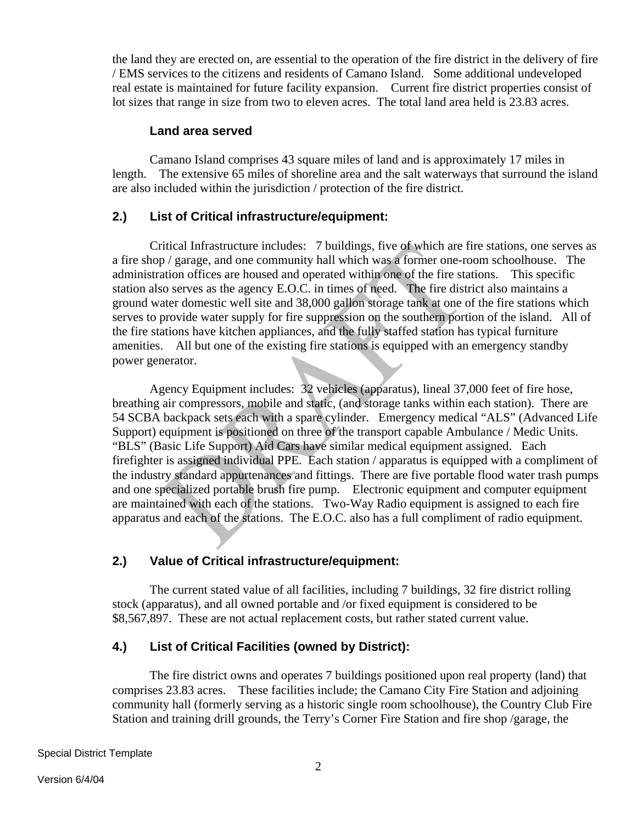the land they are erected on, are essential to the operation of the fire district in the delivery of fire / EMS services to the citizens and residents of Camano Island. Some additional undeveloped real estate is maintained for future facility expansion. Current fire district properties consist of lot sizes that range in size from two to eleven acres. The total land area held is 23.83 acres.

#### **Land area served**

Camano Island comprises 43 square miles of land and is approximately 17 miles in length. The extensive 65 miles of shoreline area and the salt waterways that surround the island are also included within the jurisdiction / protection of the fire district.

### **2.) List of Critical infrastructure/equipment:**

Critical Infrastructure includes: 7 buildings, five of which are fire stations, one serves as a fire shop / garage, and one community hall which was a former one-room schoolhouse. The administration offices are housed and operated within one of the fire stations. This specific station also serves as the agency E.O.C. in times of need. The fire district also maintains a ground water domestic well site and 38,000 gallon storage tank at one of the fire stations which serves to provide water supply for fire suppression on the southern portion of the island. All of the fire stations have kitchen appliances, and the fully staffed station has typical furniture amenities. All but one of the existing fire stations is equipped with an emergency standby power generator.

Agency Equipment includes: 32 vehicles (apparatus), lineal 37,000 feet of fire hose, breathing air compressors, mobile and static, (and storage tanks within each station). There are 54 SCBA backpack sets each with a spare cylinder. Emergency medical "ALS" (Advanced Life Support) equipment is positioned on three of the transport capable Ambulance / Medic Units. "BLS" (Basic Life Support) Aid Cars have similar medical equipment assigned. Each firefighter is assigned individual PPE. Each station / apparatus is equipped with a compliment of the industry standard appurtenances and fittings. There are five portable flood water trash pumps and one specialized portable brush fire pump. Electronic equipment and computer equipment are maintained with each of the stations. Two-Way Radio equipment is assigned to each fire apparatus and each of the stations. The E.O.C. also has a full compliment of radio equipment.

### **2.) Value of Critical infrastructure/equipment:**

The current stated value of all facilities, including 7 buildings, 32 fire district rolling stock (apparatus), and all owned portable and /or fixed equipment is considered to be \$8,567,897. These are not actual replacement costs, but rather stated current value.

### **4.) List of Critical Facilities (owned by District):**

The fire district owns and operates 7 buildings positioned upon real property (land) that comprises 23.83 acres. These facilities include; the Camano City Fire Station and adjoining community hall (formerly serving as a historic single room schoolhouse), the Country Club Fire Station and training drill grounds, the Terry's Corner Fire Station and fire shop /garage, the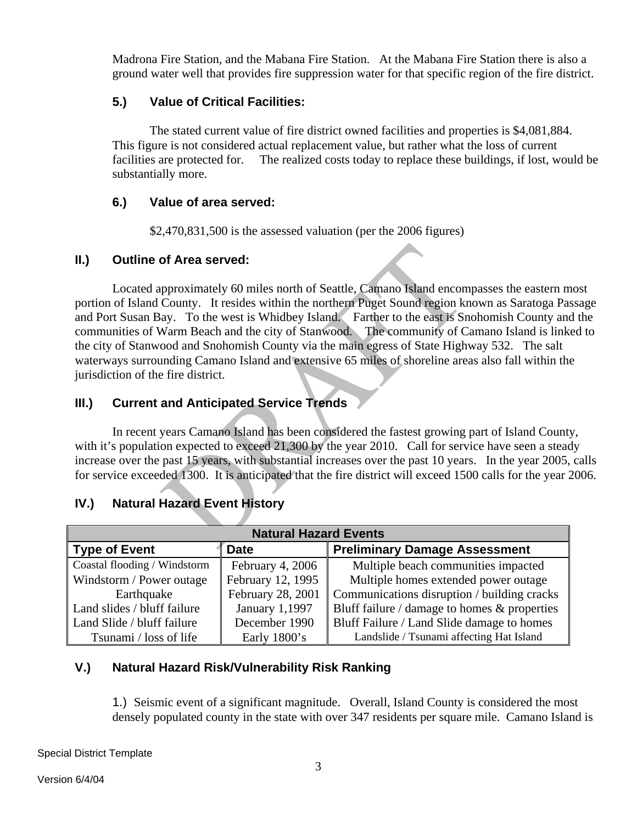Madrona Fire Station, and the Mabana Fire Station. At the Mabana Fire Station there is also a ground water well that provides fire suppression water for that specific region of the fire district.

### **5.) Value of Critical Facilities:**

The stated current value of fire district owned facilities and properties is \$4,081,884. This figure is not considered actual replacement value, but rather what the loss of current facilities are protected for. The realized costs today to replace these buildings, if lost, would be substantially more.

### **6.) Value of area served:**

\$2,470,831,500 is the assessed valuation (per the 2006 figures)

### **II.) Outline of Area served:**

Located approximately 60 miles north of Seattle, Camano Island encompasses the eastern most portion of Island County. It resides within the northern Puget Sound region known as Saratoga Passage and Port Susan Bay. To the west is Whidbey Island. Farther to the east is Snohomish County and the communities of Warm Beach and the city of Stanwood. The community of Camano Island is linked to the city of Stanwood and Snohomish County via the main egress of State Highway 532. The salt waterways surrounding Camano Island and extensive 65 miles of shoreline areas also fall within the jurisdiction of the fire district.

# **III.) Current and Anticipated Service Trends**

In recent years Camano Island has been considered the fastest growing part of Island County, with it's population expected to exceed 21,300 by the year 2010. Call for service have seen a steady increase over the past 15 years, with substantial increases over the past 10 years. In the year 2005, calls for service exceeded 1300. It is anticipated that the fire district will exceed 1500 calls for the year 2006.

# **IV.) Natural Hazard Event History**

| <b>Natural Hazard Events</b> |                                      |                                                 |  |  |  |  |
|------------------------------|--------------------------------------|-------------------------------------------------|--|--|--|--|
| <b>Type of Event</b>         | <b>Preliminary Damage Assessment</b> |                                                 |  |  |  |  |
| Coastal flooding / Windstorm | February 4, 2006                     | Multiple beach communities impacted             |  |  |  |  |
| Windstorm / Power outage     | February 12, 1995                    | Multiple homes extended power outage            |  |  |  |  |
| Earthquake                   | February 28, 2001                    | Communications disruption / building cracks     |  |  |  |  |
| Land slides / bluff failure  | January 1,1997                       | Bluff failure / damage to homes $\&$ properties |  |  |  |  |
| Land Slide / bluff failure   | December 1990                        | Bluff Failure / Land Slide damage to homes      |  |  |  |  |
| Tsunami / loss of life       | Early $1800$ 's                      | Landslide / Tsunami affecting Hat Island        |  |  |  |  |

# **V.) Natural Hazard Risk/Vulnerability Risk Ranking**

1.) Seismic event of a significant magnitude. Overall, Island County is considered the most densely populated county in the state with over 347 residents per square mile. Camano Island is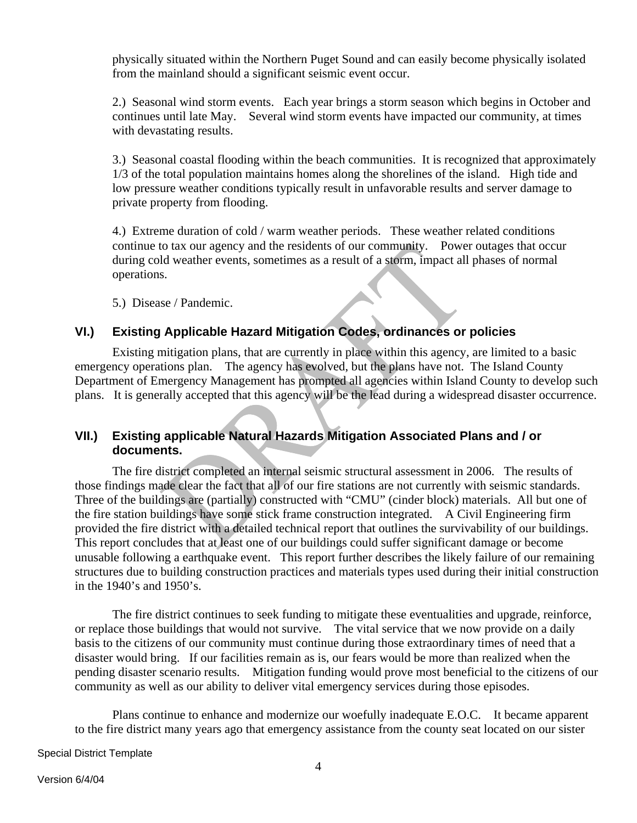physically situated within the Northern Puget Sound and can easily become physically isolated from the mainland should a significant seismic event occur.

2.) Seasonal wind storm events. Each year brings a storm season which begins in October and continues until late May. Several wind storm events have impacted our community, at times with devastating results.

3.) Seasonal coastal flooding within the beach communities. It is recognized that approximately 1/3 of the total population maintains homes along the shorelines of the island. High tide and low pressure weather conditions typically result in unfavorable results and server damage to private property from flooding.

4.) Extreme duration of cold / warm weather periods. These weather related conditions continue to tax our agency and the residents of our community. Power outages that occur during cold weather events, sometimes as a result of a storm, impact all phases of normal operations.

5.) Disease / Pandemic.

### **VI.) Existing Applicable Hazard Mitigation Codes, ordinances or policies**

Existing mitigation plans, that are currently in place within this agency, are limited to a basic emergency operations plan. The agency has evolved, but the plans have not. The Island County Department of Emergency Management has prompted all agencies within Island County to develop such plans. It is generally accepted that this agency will be the lead during a widespread disaster occurrence.

### **VII.) Existing applicable Natural Hazards Mitigation Associated Plans and / or documents.**

The fire district completed an internal seismic structural assessment in 2006. The results of those findings made clear the fact that all of our fire stations are not currently with seismic standards. Three of the buildings are (partially) constructed with "CMU" (cinder block) materials. All but one of the fire station buildings have some stick frame construction integrated. A Civil Engineering firm provided the fire district with a detailed technical report that outlines the survivability of our buildings. This report concludes that at least one of our buildings could suffer significant damage or become unusable following a earthquake event. This report further describes the likely failure of our remaining structures due to building construction practices and materials types used during their initial construction in the 1940's and 1950's.

The fire district continues to seek funding to mitigate these eventualities and upgrade, reinforce, or replace those buildings that would not survive. The vital service that we now provide on a daily basis to the citizens of our community must continue during those extraordinary times of need that a disaster would bring. If our facilities remain as is, our fears would be more than realized when the pending disaster scenario results. Mitigation funding would prove most beneficial to the citizens of our community as well as our ability to deliver vital emergency services during those episodes.

Plans continue to enhance and modernize our woefully inadequate E.O.C. It became apparent to the fire district many years ago that emergency assistance from the county seat located on our sister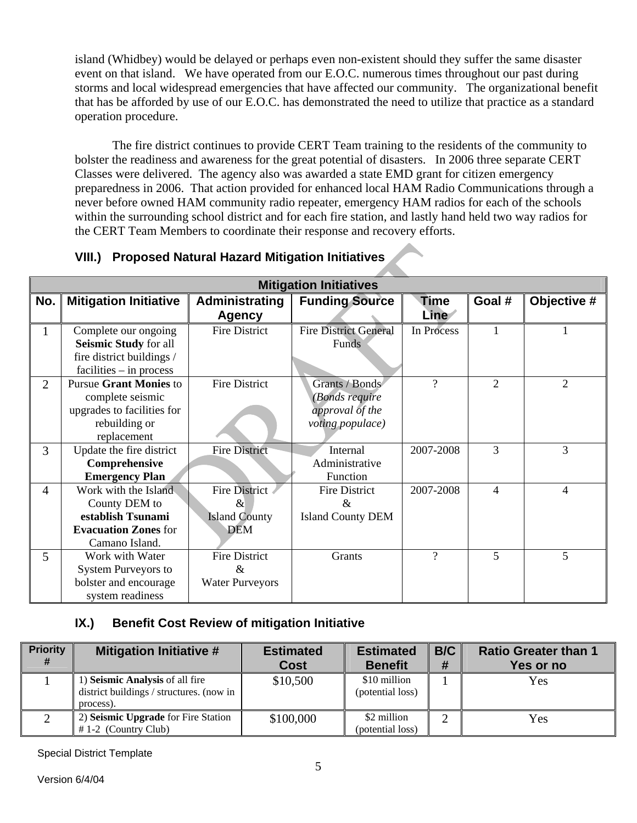island (Whidbey) would be delayed or perhaps even non-existent should they suffer the same disaster event on that island. We have operated from our E.O.C. numerous times throughout our past during storms and local widespread emergencies that have affected our community. The organizational benefit that has be afforded by use of our E.O.C. has demonstrated the need to utilize that practice as a standard operation procedure.

The fire district continues to provide CERT Team training to the residents of the community to bolster the readiness and awareness for the great potential of disasters. In 2006 three separate CERT Classes were delivered. The agency also was awarded a state EMD grant for citizen emergency preparedness in 2006. That action provided for enhanced local HAM Radio Communications through a never before owned HAM community radio repeater, emergency HAM radios for each of the schools within the surrounding school district and for each fire station, and lastly hand held two way radios for the CERT Team Members to coordinate their response and recovery efforts.

| <b>Mitigation Initiatives</b> |                                                                                                                 |                                                                    |                                                                         |                     |                |                |  |
|-------------------------------|-----------------------------------------------------------------------------------------------------------------|--------------------------------------------------------------------|-------------------------------------------------------------------------|---------------------|----------------|----------------|--|
| No.                           | <b>Mitigation Initiative</b>                                                                                    | Administrating<br><b>Agency</b>                                    | <b>Funding Source</b>                                                   | <b>Time</b><br>Line | Goal #         | Objective #    |  |
| 1                             | Complete our ongoing<br>Seismic Study for all<br>fire district buildings /<br>$facilities - in process$         | <b>Fire District</b>                                               | <b>Fire District General</b><br><b>Funds</b>                            | In Process          |                |                |  |
| $\overline{2}$                | <b>Pursue Grant Monies to</b><br>complete seismic<br>upgrades to facilities for<br>rebuilding or<br>replacement | <b>Fire District</b>                                               | Grants / Bonds<br>(Bonds require<br>approval of the<br>voting populace) | $\gamma$            | 2              | $\mathfrak{D}$ |  |
| 3                             | Update the fire district<br>Comprehensive<br><b>Emergency Plan</b>                                              | <b>Fire District</b>                                               | Internal<br>Administrative<br>Function                                  | 2007-2008           | 3              | 3              |  |
| 4                             | Work with the Island<br>County DEM to<br>establish Tsunami<br><b>Evacuation Zones for</b><br>Camano Island.     | <b>Fire District</b><br>$\&$<br><b>Island County</b><br><b>DEM</b> | <b>Fire District</b><br>&<br><b>Island County DEM</b>                   | 2007-2008           | $\overline{4}$ | 4              |  |
| 5                             | Work with Water<br><b>System Purveyors to</b><br>bolster and encourage<br>system readiness                      | <b>Fire District</b><br>&<br><b>Water Purveyors</b>                | Grants                                                                  | $\gamma$            | 5              | 5              |  |

# **IX.) Benefit Cost Review of mitigation Initiative**

| <b>Priority</b><br># | <b>Mitigation Initiative #</b>                                                           | <b>Estimated</b><br><b>Cost</b> | <b>Estimated</b><br><b>Benefit</b> | B/C | <b>Ratio Greater than 1</b><br>Yes or no |
|----------------------|------------------------------------------------------------------------------------------|---------------------------------|------------------------------------|-----|------------------------------------------|
|                      | 1) Seismic Analysis of all fire<br>district buildings / structures. (now in<br>process). | \$10,500                        | \$10 million<br>(potential loss)   |     | Yes                                      |
|                      | 2) Seismic Upgrade for Fire Station<br>$# 1-2$ (Country Club)                            | \$100,000                       | \$2 million<br>(potential loss)    |     | Yes                                      |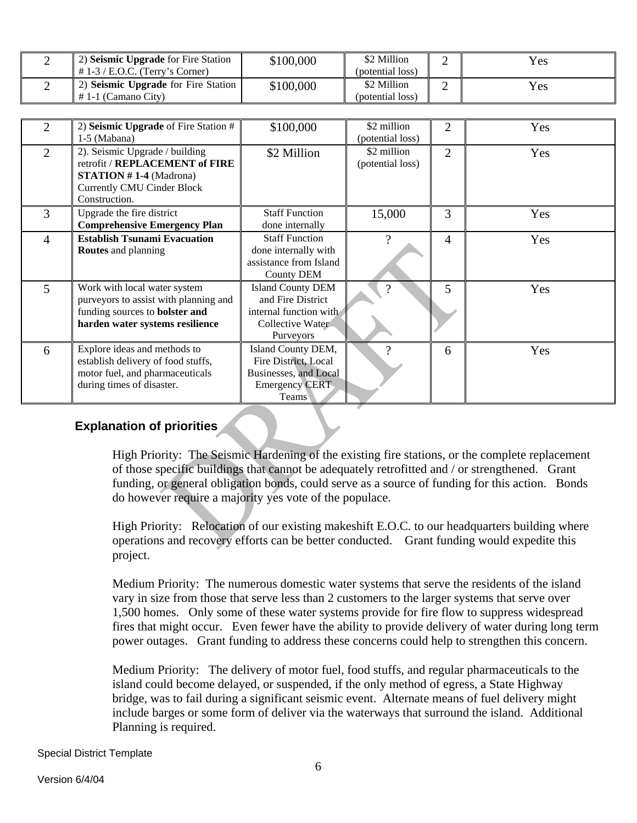| 2) Seismic Upgrade for Fire Station<br>$\#$ 1-3 / E.O.C. (Terry's Corner) | \$100,000 | \$2 Million<br>(potential loss) | $v_{es}$ |
|---------------------------------------------------------------------------|-----------|---------------------------------|----------|
| 2) Seismic Upgrade for Fire Station $\parallel$<br>$\#$ 1-1 (Camano City) | \$100,000 | \$2 Million<br>(potential loss) | $v_{es}$ |

| 2              | 2) Seismic Upgrade of Fire Station #  | \$100,000                     | \$2 million      | $\overline{2}$ | Yes |
|----------------|---------------------------------------|-------------------------------|------------------|----------------|-----|
|                | 1-5 (Mabana)                          |                               | (potential loss) |                |     |
| $\overline{2}$ | 2). Seismic Upgrade / building        | \$2 Million                   | \$2 million      | 2              | Yes |
|                | retrofit / REPLACEMENT of FIRE        |                               | (potential loss) |                |     |
|                | <b>STATION</b> #1-4 (Madrona)         |                               |                  |                |     |
|                | <b>Currently CMU Cinder Block</b>     |                               |                  |                |     |
|                | Construction.                         |                               |                  |                |     |
|                |                                       | <b>Staff Function</b>         |                  |                |     |
| 3              | Upgrade the fire district             |                               | 15,000           | 3              | Yes |
|                | <b>Comprehensive Emergency Plan</b>   | done internally               |                  |                |     |
| $\overline{4}$ | <b>Establish Tsunami Evacuation</b>   | <b>Staff Function</b>         | $\gamma$         | 4              | Yes |
|                | <b>Routes</b> and planning            | done internally with          |                  |                |     |
|                |                                       | assistance from Island        |                  |                |     |
|                |                                       | <b>County DEM</b>             |                  |                |     |
| 5 <sup>5</sup> | Work with local water system          | <b>Island County DEM</b>      |                  | 5              | Yes |
|                | purveyors to assist with planning and | and Fire District             |                  |                |     |
|                | funding sources to bolster and        | internal function with        |                  |                |     |
|                | harden water systems resilience       | Collective Water              |                  |                |     |
|                |                                       | Purveyors                     |                  |                |     |
| 6              | Explore ideas and methods to          | Island County DEM,            |                  | 6              | Yes |
|                | establish delivery of food stuffs,    | Fire District, Local          |                  |                |     |
|                | motor fuel, and pharmaceuticals       | <b>Businesses</b> , and Local |                  |                |     |
|                | during times of disaster.             | <b>Emergency CERT</b>         |                  |                |     |
|                |                                       | Teams                         |                  |                |     |

#### **Explanation of priorities**

High Priority: The Seismic Hardening of the existing fire stations, or the complete replacement of those specific buildings that cannot be adequately retrofitted and / or strengthened. Grant funding, or general obligation bonds, could serve as a source of funding for this action. Bonds do however require a majority yes vote of the populace.

High Priority: Relocation of our existing makeshift E.O.C. to our headquarters building where operations and recovery efforts can be better conducted. Grant funding would expedite this project.

Medium Priority: The numerous domestic water systems that serve the residents of the island vary in size from those that serve less than 2 customers to the larger systems that serve over 1,500 homes. Only some of these water systems provide for fire flow to suppress widespread fires that might occur. Even fewer have the ability to provide delivery of water during long term power outages. Grant funding to address these concerns could help to strengthen this concern.

Medium Priority: The delivery of motor fuel, food stuffs, and regular pharmaceuticals to the island could become delayed, or suspended, if the only method of egress, a State Highway bridge, was to fail during a significant seismic event. Alternate means of fuel delivery might include barges or some form of deliver via the waterways that surround the island. Additional Planning is required.